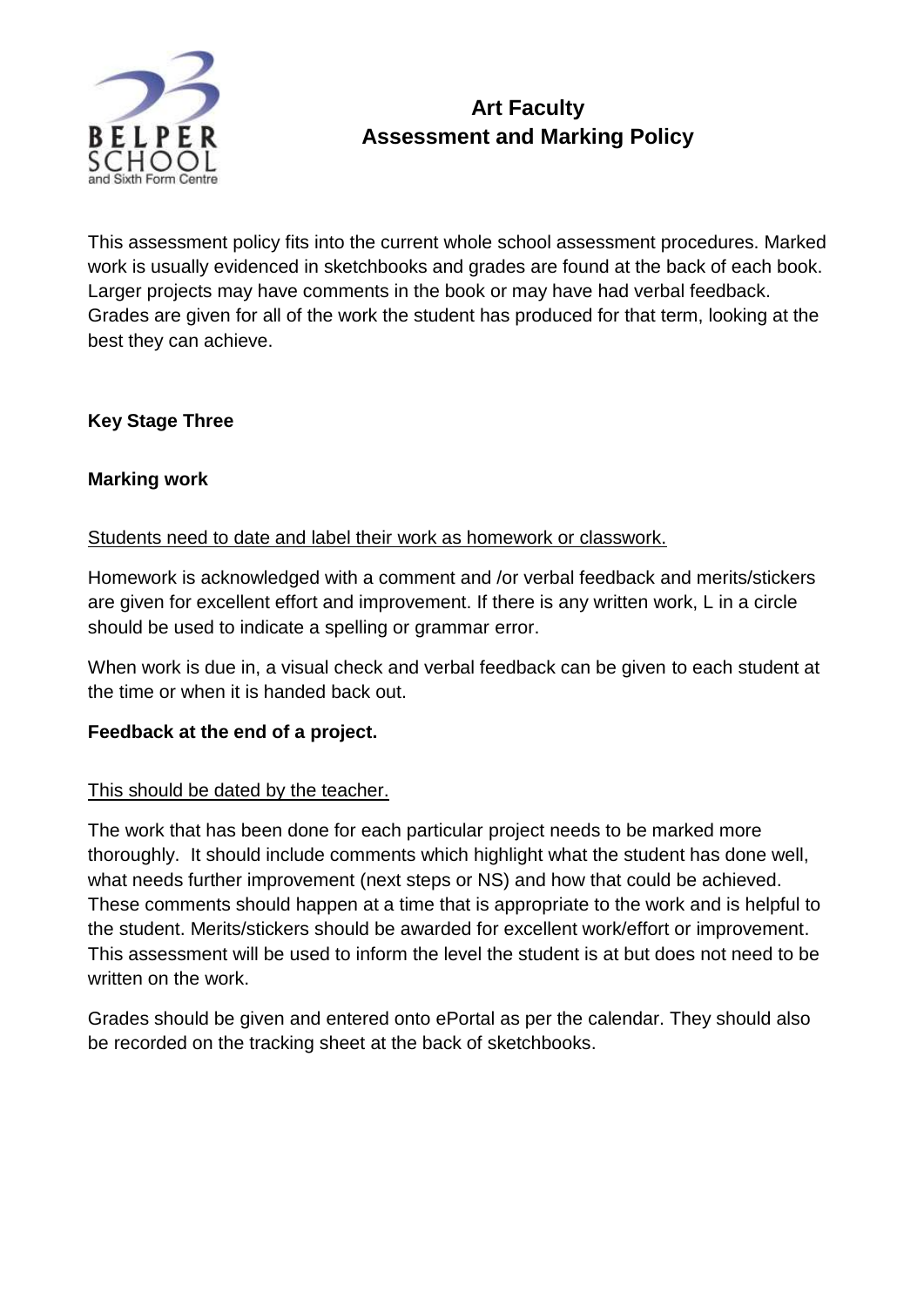

# **Art Faculty Assessment and Marking Policy**

This assessment policy fits into the current whole school assessment procedures. Marked work is usually evidenced in sketchbooks and grades are found at the back of each book. Larger projects may have comments in the book or may have had verbal feedback. Grades are given for all of the work the student has produced for that term, looking at the best they can achieve.

# **Key Stage Three**

## **Marking work**

### Students need to date and label their work as homework or classwork.

Homework is acknowledged with a comment and /or verbal feedback and merits/stickers are given for excellent effort and improvement. If there is any written work, L in a circle should be used to indicate a spelling or grammar error.

When work is due in, a visual check and verbal feedback can be given to each student at the time or when it is handed back out.

### **Feedback at the end of a project.**

#### This should be dated by the teacher.

The work that has been done for each particular project needs to be marked more thoroughly. It should include comments which highlight what the student has done well, what needs further improvement (next steps or NS) and how that could be achieved. These comments should happen at a time that is appropriate to the work and is helpful to the student. Merits/stickers should be awarded for excellent work/effort or improvement. This assessment will be used to inform the level the student is at but does not need to be written on the work.

Grades should be given and entered onto ePortal as per the calendar. They should also be recorded on the tracking sheet at the back of sketchbooks.